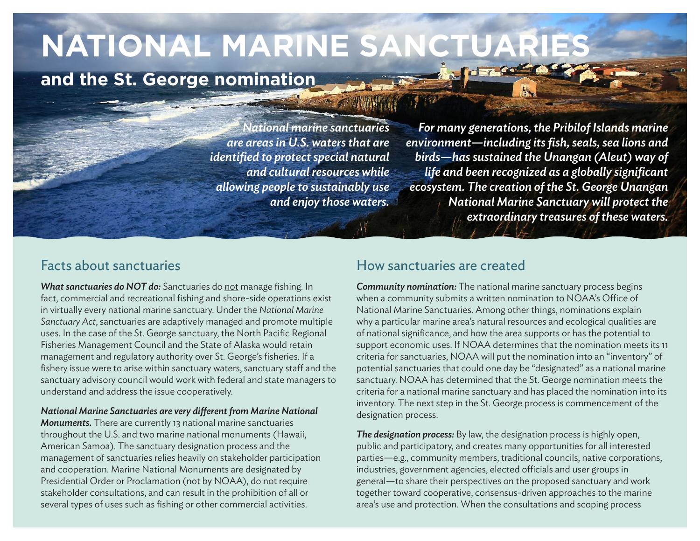# **NATIONAL MARINE SANCTUARIES**

## **and the St. George nomination**

*National marine sanctuaries are areas in U.S. waters that are identified to protect special natural and cultural resources while allowing people to sustainably use and enjoy those waters.*

*For many generations, the Pribilof Islands marine environment—including its fish, seals, sea lions and birds—has sustained the Unangan (Aleut) way of life and been recognized as a globally significant ecosystem. The creation of the St. George Unangan National Marine Sanctuary will protect the extraordinary treasures of these waters.*

## Facts about sanctuaries

*What sanctuaries do NOT do:* Sanctuaries do not manage fishing. In fact, commercial and recreational fishing and shore-side operations exist in virtually every national marine sanctuary. Under the *[National Marine](https://nmssanctuaries.blob.core.windows.net/sanctuaries-prod/media/archive/library/national/nmsa.pdf)  [Sanctuary Act](https://nmssanctuaries.blob.core.windows.net/sanctuaries-prod/media/archive/library/national/nmsa.pdf)*, sanctuaries are adaptively managed and promote multiple uses. In the case of the St. George sanctuary, the North Pacific Regional Fisheries Management Council and the State of Alaska would retain management and regulatory authority over St. George's fisheries. If a fishery issue were to arise within sanctuary waters, sanctuary staff and the sanctuary advisory council would work with federal and state managers to understand and address the issue cooperatively.

#### *National Marine Sanctuaries are very different from Marine National*

*Monuments.* There are currently 13 national marine sanctuaries throughout the U.S. and two marine national monuments (Hawaii, American Samoa). The sanctuary designation process and the management of sanctuaries relies heavily on stakeholder participation and cooperation. Marine National Monuments are designated by Presidential Order or Proclamation (not by NOAA), do not require stakeholder consultations, and can result in the prohibition of all or several types of uses such as fishing or other commercial activities.

### How sanctuaries are created

*Community nomination:* The national marine sanctuary process begins when a community submits a written nomination to NOAA's Office of National Marine Sanctuaries. Among other things, nominations explain why a particular marine area's natural resources and ecological qualities are of national significance, and how the area supports or has the potential to support economic uses. If NOAA determines that the nomination meets its 11 criteria for sanctuaries, NOAA will put the nomination into an "inventory" of potential sanctuaries that could one day be "designated" as a national marine sanctuary. NOAA has determined that the St. George nomination meets the criteria for a national marine sanctuary and has placed the nomination into its inventory. The next step in the St. George process is commencement of the designation process.

*The designation process:* By law, the designation process is highly open, public and participatory, and creates many opportunities for all interested parties—e.g., community members, traditional councils, native corporations, industries, government agencies, elected officials and user groups in general—to share their perspectives on the proposed sanctuary and work together toward cooperative, consensus-driven approaches to the marine area's use and protection. When the consultations and scoping process